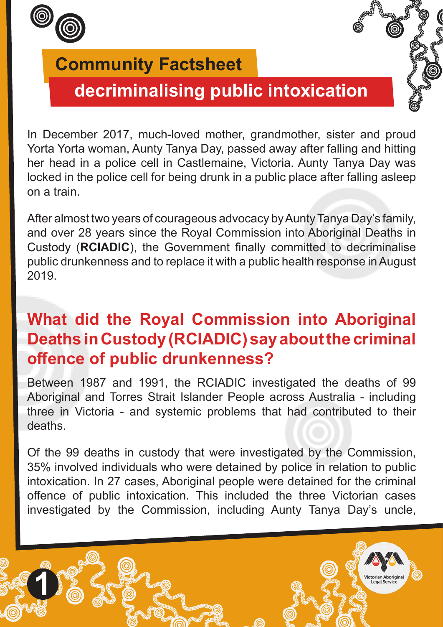

# **decriminalising public intoxication**

In December 2017, much-loved mother, grandmother, sister and proud Yorta Yorta woman, Aunty Tanya Day, passed away after falling and hitting her head in a police cell in Castlemaine, Victoria. Aunty Tanya Day was locked in the police cell for being drunk in a public place after falling asleep on a train.

After almost two years of courageous advocacy by Aunty Tanya Day's family, and over 28 years since the Royal Commission into Aboriginal Deaths in Custody (**RCIADIC**), the Government finally committed to decriminalise public drunkenness and to replace it with a public health response in August 2019.

# **What did the Royal Commission into Aboriginal Deaths in Custody (RCIADIC) say about the criminal offence of public drunkenness?**

Between 1987 and 1991, the RCIADIC investigated the deaths of 99 Aboriginal and Torres Strait Islander People across Australia - including three in Victoria - and systemic problems that had contributed to their deaths.

Of the 99 deaths in custody that were investigated by the Commission, 35% involved individuals who were detained by police in relation to public intoxication. In 27 cases, Aboriginal people were detained for the criminal offence of public intoxication. This included the three Victorian cases investigated by the Commission, including Aunty Tanya Day's uncle,

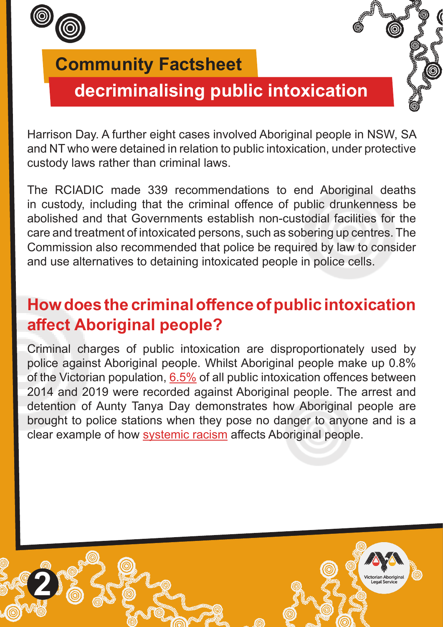

# **decriminalising public intoxication**

Harrison Day. A further eight cases involved Aboriginal people in NSW, SA and NT who were detained in relation to public intoxication, under protective custody laws rather than criminal laws.

The RCIADIC made 339 recommendations to end Aboriginal deaths in custody, including that the criminal offence of public drunkenness be abolished and that Governments establish non-custodial facilities for the care and treatment of intoxicated persons, such as sobering up centres. The Commission also recommended that police be required by law to consider and use alternatives to detaining intoxicated people in police cells.

## **How does the criminal offence of public intoxication affect Aboriginal people?**

Criminal charges of public intoxication are disproportionately used by police against Aboriginal people. Whilst Aboriginal people make up 0.8% of the Victorian population, [6.5%](https://files.justice.vic.gov.au/2021-06/Seeing%20the%20Clear%20Light%20of%20Day%20ERG%20report.pdf?knP0AlzuQ27Ml_bI_PgjdeHk_3YdD7vt=#page=30) of all public intoxication offences between 2014 and 2019 were recorded against Aboriginal people. The arrest and detention of Aunty Tanya Day demonstrates how Aboriginal people are brought to police stations when they pose no danger to anyone and is a clear example of how [systemic racism](http://www.vals.org.au/wp-content/uploads/2022/01/Community-fact-sheet-Systemic-Racism.pdf) affects Aboriginal people.

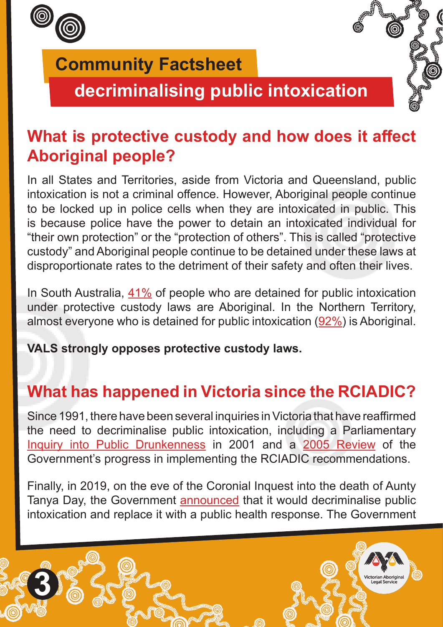

**3**

## **Community Factsheet**

**decriminalising public intoxication**

# **What is protective custody and how does it affect Aboriginal people?**

In all States and Territories, aside from Victoria and Queensland, public intoxication is not a criminal offence. However, Aboriginal people continue to be locked up in police cells when they are intoxicated in public. This is because police have the power to detain an intoxicated individual for "their own protection" or the "protection of others". This is called "protective custody" and Aboriginal people continue to be detained under these laws at disproportionate rates to the detriment of their safety and often their lives.

In South Australia,  $41\%$  of people who are detained for public intoxication under protective custody laws are Aboriginal. In the Northern Territory, almost everyone who is detained for public intoxication [\(92%](https://files.justice.vic.gov.au/2021-06/Seeing%20the%20Clear%20Light%20of%20Day%20ERG%20report.pdf?knP0AlzuQ27Ml_bI_PgjdeHk_3YdD7vt=#page=39)) is Aboriginal.

**VALS strongly opposes protective custody laws.**

# **What has happened in Victoria since the RCIADIC?**

Since 1991, there have been several inquiries in Victoria that have reaffirmed the need to decriminalise public intoxication, including a Parliamentary [Inquiry into Public Drunkenness](https://www.parliament.vic.gov.au/images/stories/committees/dcpc/Public_drunkenness/2001_Jun_Final_Report_Public_Drunkenness.pdf) in 2001 and a [2005 Review](https://www.justice.vic.gov.au/victorian-implementation-review-of-recommendations-volume-1) of the Government's progress in implementing the RCIADIC recommendations.

Finally, in 2019, on the eve of the Coronial Inquest into the death of Aunty Tanya Day, the Government [announced](https://www.premier.vic.gov.au/new-health-based-response-public-drunkenness) that it would decriminalise public intoxication and replace it with a public health response. The Government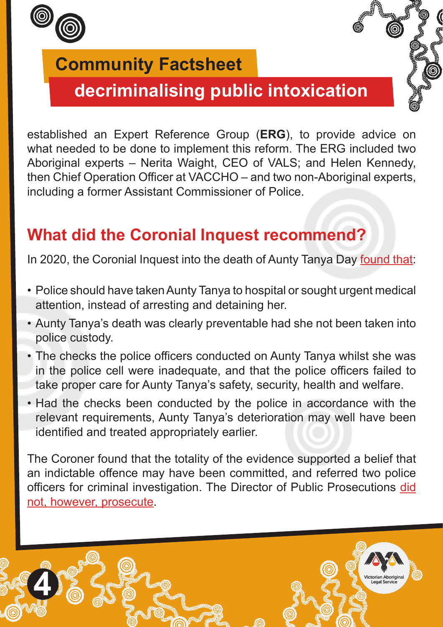

**4**

## **Community Factsheet**

# **decriminalising public intoxication**

established an Expert Reference Group (**ERG**), to provide advice on what needed to be done to implement this reform. The ERG included two Aboriginal experts – Nerita Waight, CEO of VALS; and Helen Kennedy, then Chief Operation Officer at VACCHO – and two non-Aboriginal experts, including a former Assistant Commissioner of Police.

#### **What did the Coronial Inquest recommend?**

In 2020, the Coronial Inquest into the death of Aunty Tanya Day [found that:](https://www.hrlc.org.au/news/2021/12/17/trial-sites-to-test-health-response-to-public-drunkenness-announced-day-family-respond)

- Police should have taken Aunty Tanya to hospital or sought urgent medical attention, instead of arresting and detaining her.
- Aunty Tanya's death was clearly preventable had she not been taken into police custody.
- The checks the police officers conducted on Aunty Tanya whilst she was in the police cell were inadequate, and that the police officers failed to take proper care for Aunty Tanya's safety, security, health and welfare.
- Had the checks been conducted by the police in accordance with the relevant requirements, Aunty Tanya's deterioration may well have been identified and treated appropriately earlier.

The Coroner found that the totality of the evidence supported a belief that an indictable offence may have been committed, and referred two police officers for criminal investigation. The Director of Public Prosecutions [did](https://www.hrlc.org.au/news/2020/8/26/police-officers-involved-in-tanya-days-death-avoid-prosecution) [not, however, prosecute](https://www.hrlc.org.au/news/2020/8/26/police-officers-involved-in-tanya-days-death-avoid-prosecution).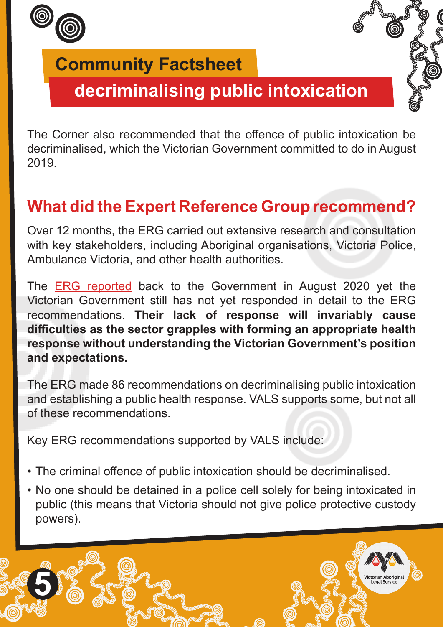

# **decriminalising public intoxication**

The Corner also recommended that the offence of public intoxication be decriminalised, which the Victorian Government committed to do in August 2019.

# **What did the Expert Reference Group recommend?**

Over 12 months, the ERG carried out extensive research and consultation with key stakeholders, including Aboriginal organisations, Victoria Police, Ambulance Victoria, and other health authorities.

The **ERG** reported back to the Government in August 2020 yet the Victorian Government still has not yet responded in detail to the ERG recommendations. **Their lack of response will invariably cause difficulties as the sector grapples with forming an appropriate health response without understanding the Victorian Government's position and expectations.** 

The ERG made 86 recommendations on decriminalising public intoxication and establishing a public health response. VALS supports some, but not all of these recommendations.

Key ERG recommendations supported by VALS include:

- The criminal offence of public intoxication should be decriminalised.
- No one should be detained in a police cell solely for being intoxicated in public (this means that Victoria should not give police protective custody powers).

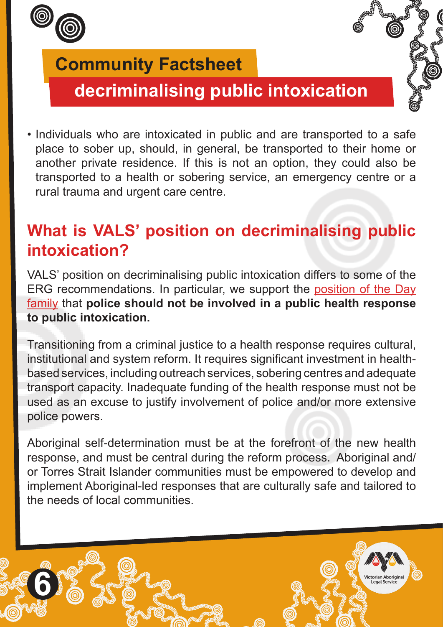

**6**

## **Community Factsheet**

# **decriminalising public intoxication**

• Individuals who are intoxicated in public and are transported to a safe place to sober up, should, in general, be transported to their home or another private residence. If this is not an option, they could also be transported to a health or sobering service, an emergency centre or a rural trauma and urgent care centre.

## **What is VALS' position on decriminalising public intoxication?**

VALS' position on decriminalising public intoxication differs to some of the ERG recommendations. In particular, we support the [position of the Day](https://www.hrlc.org.au/news/2021/12/17/trial-sites-to-test-health-response-to-public-drunkenness-announced-day-family-respond) [family](https://www.hrlc.org.au/news/2021/12/17/trial-sites-to-test-health-response-to-public-drunkenness-announced-day-family-respond) that **police should not be involved in a public health response to public intoxication.** 

Transitioning from a criminal justice to a health response requires cultural, institutional and system reform. It requires significant investment in healthbased services, including outreach services, sobering centres and adequate transport capacity. Inadequate funding of the health response must not be used as an excuse to justify involvement of police and/or more extensive police powers.

Aboriginal self-determination must be at the forefront of the new health response, and must be central during the reform process. Aboriginal and/ or Torres Strait Islander communities must be empowered to develop and implement Aboriginal-led responses that are culturally safe and tailored to the needs of local communities.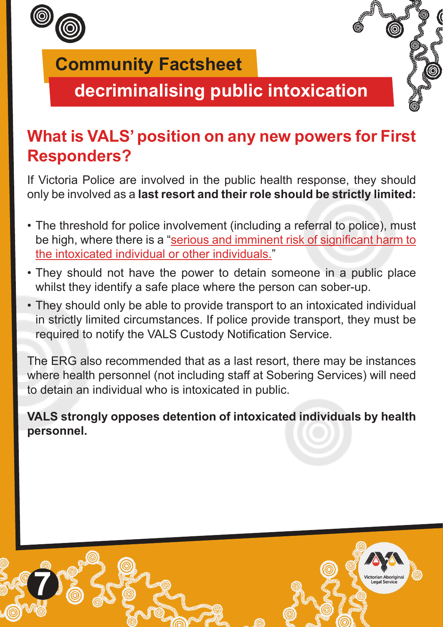

**decriminalising public intoxication**

## **What is VALS' position on any new powers for First Responders?**

If Victoria Police are involved in the public health response, they should only be involved as a **last resort and their role should be strictly limited:** 

- The threshold for police involvement (including a referral to police), must be high, where there is a "[serious and imminent risk of significant harm to](https://files.justice.vic.gov.au/2021-06/Seeing%20the%20Clear%20Light%20of%20Day%20ERG%20report.pdf?knP0AlzuQ27Ml_bI_PgjdeHk_3YdD7vt=#page=51) [the intoxicated individual or other individuals.](https://files.justice.vic.gov.au/2021-06/Seeing%20the%20Clear%20Light%20of%20Day%20ERG%20report.pdf?knP0AlzuQ27Ml_bI_PgjdeHk_3YdD7vt=#page=51)"
- They should not have the power to detain someone in a public place whilst they identify a safe place where the person can sober-up.
- They should only be able to provide transport to an intoxicated individual in strictly limited circumstances. If police provide transport, they must be required to notify the VALS Custody Notification Service.

The ERG also recommended that as a last resort, there may be instances where health personnel (not including staff at Sobering Services) will need to detain an individual who is intoxicated in public.

**VALS strongly opposes detention of intoxicated individuals by health personnel.** 

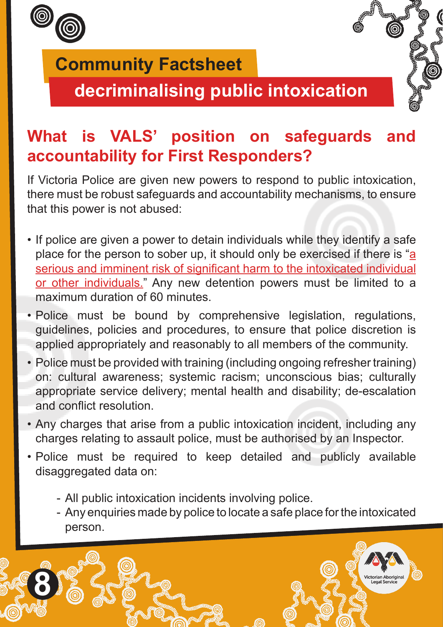

**decriminalising public intoxication**

# **What is VALS' position on safeguards and accountability for First Responders?**

If Victoria Police are given new powers to respond to public intoxication, there must be robust safeguards and accountability mechanisms, to ensure that this power is not abused:

- If police are given a power to detain individuals while they identify a safe place for the person to sober up, it should only be exercised if there is ["a](https://files.justice.vic.gov.au/2021-06/Seeing%20the%20Clear%20Light%20of%20Day%20ERG%20report.pdf?knP0AlzuQ27Ml_bI_PgjdeHk_3YdD7vt=#page=10) [serious and imminent risk of significant harm to the intoxicated individual](https://files.justice.vic.gov.au/2021-06/Seeing%20the%20Clear%20Light%20of%20Day%20ERG%20report.pdf?knP0AlzuQ27Ml_bI_PgjdeHk_3YdD7vt=#page=10) [or other individuals."](https://files.justice.vic.gov.au/2021-06/Seeing%20the%20Clear%20Light%20of%20Day%20ERG%20report.pdf?knP0AlzuQ27Ml_bI_PgjdeHk_3YdD7vt=#page=10) Any new detention powers must be limited to a maximum duration of 60 minutes
- Police must be bound by comprehensive legislation, regulations, guidelines, policies and procedures, to ensure that police discretion is applied appropriately and reasonably to all members of the community.
- Police must be provided with training (including ongoing refresher training) on: cultural awareness; systemic racism; unconscious bias; culturally appropriate service delivery; mental health and disability; de-escalation and conflict resolution.
- Any charges that arise from a public intoxication incident, including any charges relating to assault police, must be authorised by an Inspector.
- Police must be required to keep detailed and publicly available disaggregated data on:
	- All public intoxication incidents involving police.
	- Any enquiries made by police to locate a safe place for the intoxicated person.

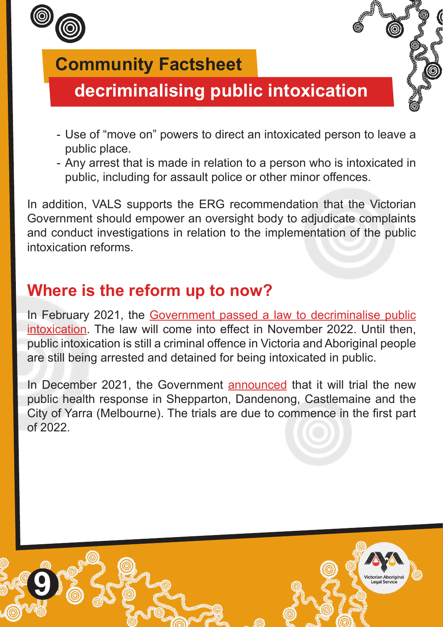

# **decriminalising public intoxication**

- Use of "move on" powers to direct an intoxicated person to leave a public place.
- Any arrest that is made in relation to a person who is intoxicated in public, including for assault police or other minor offences.

In addition, VALS supports the ERG recommendation that the Victorian Government should empower an oversight body to adjudicate complaints and conduct investigations in relation to the implementation of the public intoxication reforms.

## **Where is the reform up to now?**

In February 2021, the [Government passed a law to decriminalise public](https://www.premier.vic.gov.au/historic-laws-passed-decriminalise-public-drunkenness) [intoxication](https://www.premier.vic.gov.au/historic-laws-passed-decriminalise-public-drunkenness). The law will come into effect in November 2022. Until then, public intoxication is still a criminal offence in Victoria and Aboriginal people are still being arrested and detained for being intoxicated in public.

In December 2021, the Government [announced](https://www.premier.vic.gov.au/delivering-health-based-response-public-drunkenness) that it will trial the new public health response in Shepparton, Dandenong, Castlemaine and the City of Yarra (Melbourne). The trials are due to commence in the first part of 2022.